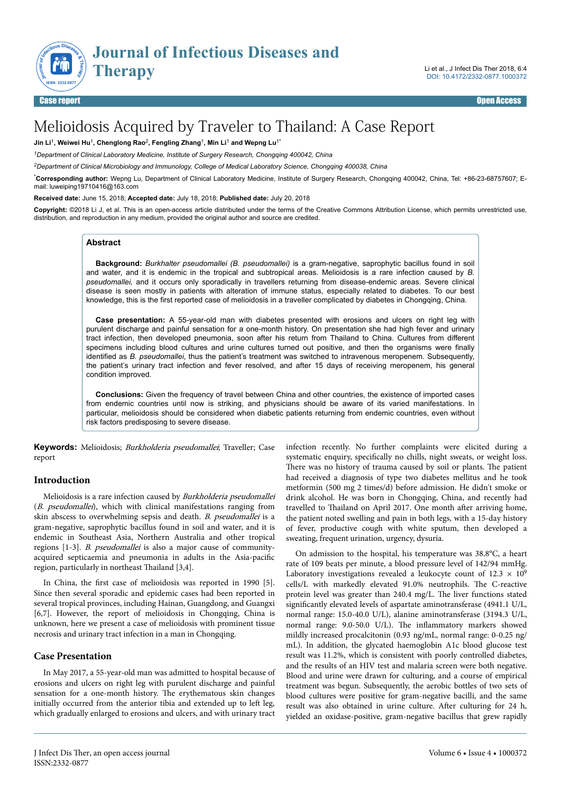

# Melioidosis Acquired by Traveler to Thailand: A Case Report

**Jin Li**<sup>1</sup> **, Weiwei Hu**<sup>1</sup> **, Chenglong Rao**<sup>2</sup> **, Fengling Zhang**<sup>1</sup> **, Min Li**<sup>1</sup>  **and Wepng Lu**1\*

*<sup>1</sup>Department of Clinical Laboratory Medicine, Institute of Surgery Research, Chongqing 400042, China*

*<sup>2</sup>Department of Clinical Microbiology and Immunology, College of Medical Laboratory Science, Chongqing 400038, China*

\***Corresponding author:** Wepng Lu, Department of Clinical Laboratory Medicine, Institute of Surgery Research, Chongqing 400042, China, Tel: +86-23-68757607; Email: luweiping19710416@163.com

**Received date:** June 15, 2018; **Accepted date:** July 18, 2018; **Published date:** July 20, 2018

Copyright: ©2018 Li J, et al. This is an open-access article distributed under the terms of the Creative Commons Attribution License, which permits unrestricted use, distribution, and reproduction in any medium, provided the original author and source are credited.

## **Abstract**

**Background:** *Burkhalter pseudomallei (B. pseudomallei)* is a gram-negative, saprophytic bacillus found in soil and water, and it is endemic in the tropical and subtropical areas. Melioidosis is a rare infection caused by *B. pseudomallei,* and it occurs only sporadically in travellers returning from disease-endemic areas. Severe clinical disease is seen mostly in patients with alteration of immune status, especially related to diabetes. To our best knowledge, this is the first reported case of melioidosis in a traveller complicated by diabetes in Chongqing, China.

**Case presentation:** A 55-year-old man with diabetes presented with erosions and ulcers on right leg with purulent discharge and painful sensation for a one-month history. On presentation she had high fever and urinary tract infection, then developed pneumonia, soon after his return from Thailand to China. Cultures from different specimens including blood cultures and urine cultures turned out positive, and then the organisms were finally identified as *B. pseudomallei*, thus the patient's treatment was switched to intravenous meropenem. Subsequently, the patient's urinary tract infection and fever resolved, and after 15 days of receiving meropenem, his general condition improved.

**Conclusions:** Given the frequency of travel between China and other countries, the existence of imported cases from endemic countries until now is striking, and physicians should be aware of its varied manifestations. In particular, melioidosis should be considered when diabetic patients returning from endemic countries, even without risk factors predisposing to severe disease.

**Keywords:** Melioidosis; Burkholderia pseudomallei; Traveller; Case report

## **Introduction**

Melioidosis is a rare infection caused by Burkholderia pseudomallei (B. pseudomallei), which with clinical manifestations ranging from skin abscess to overwhelming sepsis and death. B. pseudomallei is a gram-negative, saprophytic bacillus found in soil and water, and it is endemic in Southeast Asia, Northern Australia and other tropical regions [1-3]. B. pseudomallei is also a major cause of communityacquired septicaemia and pneumonia in adults in the Asia-pacific region, particularly in northeast Thailand [3,4].

In China, the first case of melioidosis was reported in 1990 [5]. Since then several sporadic and epidemic cases had been reported in several tropical provinces, including Hainan, Guangdong, and Guangxi [6,7]. However, the report of melioidosis in Chongqing, China is unknown, here we present a case of melioidosis with prominent tissue necrosis and urinary tract infection in a man in Chongqing.

## **Case Presentation**

In May 2017, a 55-year-old man was admitted to hospital because of erosions and ulcers on right leg with purulent discharge and painful sensation for a one-month history. Нe erythematous skin changes initially occurred from the anterior tibia and extended up to left leg, which gradually enlarged to erosions and ulcers, and with urinary tract infection recently. No further complaints were elicited during a systematic enquiry, specifically no chills, night sweats, or weight loss. There was no history of trauma caused by soil or plants. The patient had received a diagnosis of type two diabetes mellitus and he took metformin (500 mg 2 times/d) before admission. He didn't smoke or drink alcohol. He was born in Chongqing, China, and recently had travelled to Thailand on April 2017. One month after arriving home, the patient noted swelling and pain in both legs, with a 15-day history of fever, productive cough with white sputum, then developed a sweating, frequent urination, urgency, dysuria.

On admission to the hospital, his temperature was 38.8°C, a heart rate of 109 beats per minute, a blood pressure level of 142/94 mmHg. Laboratory investigations revealed a leukocyte count of  $12.3 \times 10^9$ cells/L with markedly elevated 91.0% neutrophils. Нe C-reactive protein level was greater than 240.4 mg/L. Нe liver functions stated significantly elevated levels of aspartate aminotransferase (4941.1 U/L, normal range: 15.0-40.0 U/L), alanine aminotransferase (3194.3 U/L, normal range:  $9.0-50.0$  U/L). The inflammatory markers showed mildly increased procalcitonin (0.93 ng/mL, normal range: 0-0.25 ng/ mL). In addition, the glycated haemoglobin A1c blood glucose test result was 11.2%, which is consistent with poorly controlled diabetes, and the results of an HIV test and malaria screen were both negative. Blood and urine were drawn for culturing, and a course of empirical treatment was begun. Subsequently, the aerobic bottles of two sets of blood cultures were positive for gram-negative bacilli, and the same result was also obtained in urine culture. After culturing for 24 h, yielded an oxidase-positive, gram-negative bacillus that grew rapidly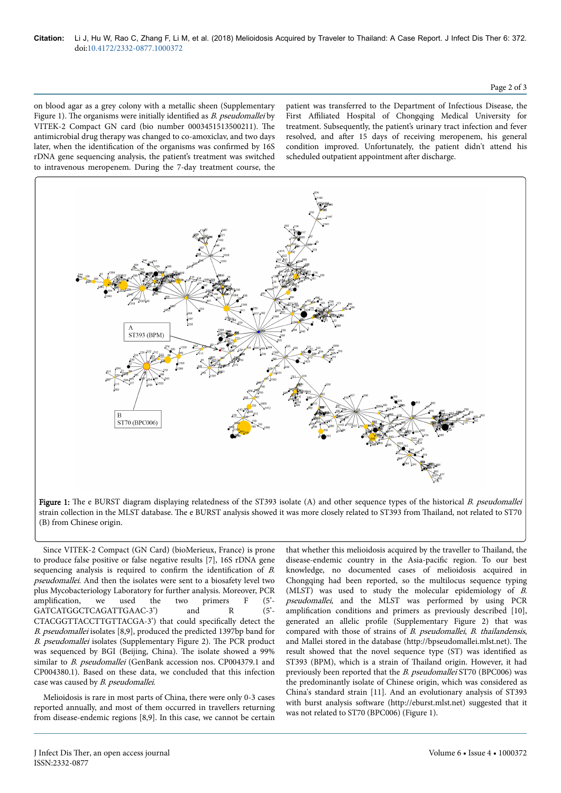#### Page 2 of 3

on blood agar as a grey colony with a metallic sheen (Supplementary Figure 1). The organisms were initially identified as *B. pseudomallei* by VITEK-2 Compact GN card (bio number 0003451513500211). Нe antimicrobial drug therapy was changed to co-amoxiclav, and two days later, when the identification of the organisms was confirmed by 16S rDNA gene sequencing analysis, the patient's treatment was switched to intravenous meropenem. During the 7-day treatment course, the patient was transferred to the Department of Infectious Disease, the First Affiliated Hospital of Chongqing Medical University for treatment. Subsequently, the patient's urinary tract infection and fever resolved, and after 15 days of receiving meropenem, his general condition improved. Unfortunately, the patient didn't attend his scheduled outpatient appointment after discharge.



Figure 1: The e BURST diagram displaying relatedness of the ST393 isolate (A) and other sequence types of the historical B. pseudomallei strain collection in the MLST database. The e BURST analysis showed it was more closely related to ST393 from Thailand, not related to ST70 (B) from Chinese origin.

Since VITEK-2 Compact (GN Card) (bioMerieux, France) is prone to produce false positive or false negative results [7], 16S rDNA gene sequencing analysis is required to confirm the identification of  $B$ . pseudomallei. And then the isolates were sent to a biosafety level two plus Mycobacteriology Laboratory for further analysis. Moreover, PCR amplification, we used the two primers F (5'amplification, we used the two primers F (5'-GATCATGGCTCAGATTGAAC-3') and R (5'-CTACGGTTACCTTGTTACGA-3') that could specifically detect the B. pseudomallei isolates [8,9], produced the predicted 1397bp band for B. pseudomallei isolates (Supplementary Figure 2). Нe PCR product was sequenced by BGI (Beijing, China). Нe isolate showed a 99% similar to *B. pseudomallei* (GenBank accession nos. CP004379.1 and CP004380.1). Based on these data, we concluded that this infection case was caused by B. pseudomallei.

Melioidosis is rare in most parts of China, there were only 0-3 cases reported annually, and most of them occurred in travellers returning from disease-endemic regions [8,9]. In this case, we cannot be certain that whether this melioidosis acquired by the traveller to Thailand, the disease-endemic country in the Asia-pacific region. To our best knowledge, no documented cases of melioidosis acquired in Chongqing had been reported, so the multilocus sequence typing (MLST) was used to study the molecular epidemiology of B. pseudomallei, and the MLST was performed by using PCR amplification conditions and primers as previously described [10], generated an allelic profile (Supplementary Figure 2) that was compared with those of strains of B. pseudomallei, B. thailandensis, and Mallei stored in the database (http://bpseudomallei.mlst.net). Нe result showed that the novel sequence type (ST) was identified as ST393 (BPM), which is a strain of Thailand origin. However, it had previously been reported that the B. pseudomallei ST70 (BPC006) was the predominantly isolate of Chinese origin, which was considered as China's standard strain [11]. And an evolutionary analysis of ST393 with burst analysis software (http://eburst.mlst.net) suggested that it was not related to ST70 (BPC006) (Figure 1).